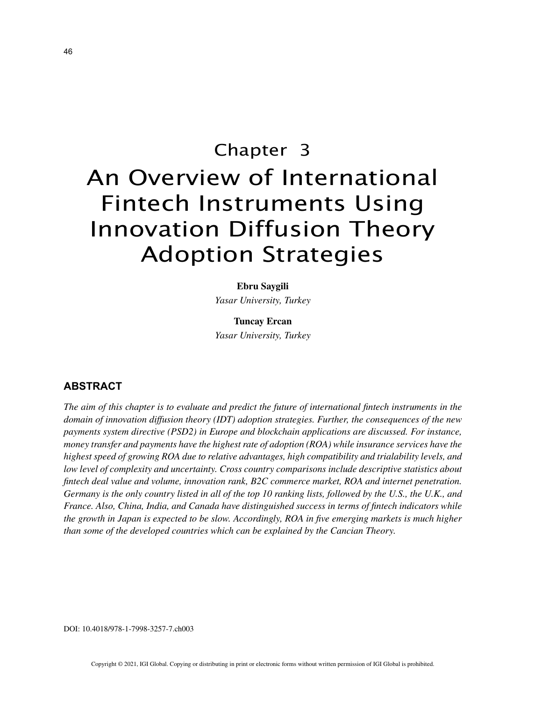# Chapter 3 An Overview of International Fintech Instruments Using Innovation Diffusion Theory Adoption Strategies

# **Ebru Saygili**

*Yasar University, Turkey*

**Tuncay Ercan** *Yasar University, Turkey*

### **ABSTRACT**

*The aim of this chapter is to evaluate and predict the future of international fintech instruments in the domain of innovation diffusion theory (IDT) adoption strategies. Further, the consequences of the new payments system directive (PSD2) in Europe and blockchain applications are discussed. For instance, money transfer and payments have the highest rate of adoption (ROA) while insurance services have the highest speed of growing ROA due to relative advantages, high compatibility and trialability levels, and low level of complexity and uncertainty. Cross country comparisons include descriptive statistics about fintech deal value and volume, innovation rank, B2C commerce market, ROA and internet penetration. Germany is the only country listed in all of the top 10 ranking lists, followed by the U.S., the U.K., and France. Also, China, India, and Canada have distinguished success in terms of fintech indicators while the growth in Japan is expected to be slow. Accordingly, ROA in five emerging markets is much higher than some of the developed countries which can be explained by the Cancian Theory.*

DOI: 10.4018/978-1-7998-3257-7.ch003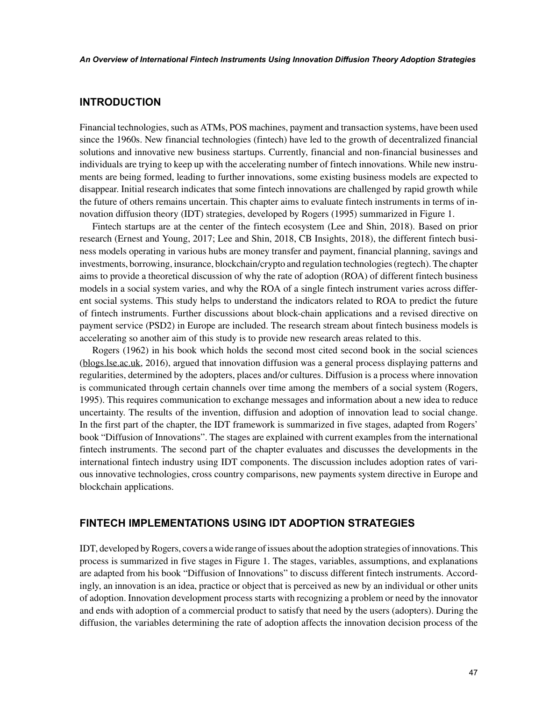### **INTRODUCTION**

Financial technologies, such as ATMs, POS machines, payment and transaction systems, have been used since the 1960s. New financial technologies (fintech) have led to the growth of decentralized financial solutions and innovative new business startups. Currently, financial and non-financial businesses and individuals are trying to keep up with the accelerating number of fintech innovations. While new instruments are being formed, leading to further innovations, some existing business models are expected to disappear. Initial research indicates that some fintech innovations are challenged by rapid growth while the future of others remains uncertain. This chapter aims to evaluate fintech instruments in terms of innovation diffusion theory (IDT) strategies, developed by Rogers (1995) summarized in Figure 1.

Fintech startups are at the center of the fintech ecosystem (Lee and Shin, 2018). Based on prior research (Ernest and Young, 2017; Lee and Shin, 2018, CB Insights, 2018), the different fintech business models operating in various hubs are money transfer and payment, financial planning, savings and investments, borrowing, insurance, blockchain/crypto and regulation technologies (regtech). The chapter aims to provide a theoretical discussion of why the rate of adoption (ROA) of different fintech business models in a social system varies, and why the ROA of a single fintech instrument varies across different social systems. This study helps to understand the indicators related to ROA to predict the future of fintech instruments. Further discussions about block-chain applications and a revised directive on payment service (PSD2) in Europe are included. The research stream about fintech business models is accelerating so another aim of this study is to provide new research areas related to this.

Rogers (1962) in his book which holds the second most cited second book in the social sciences (blogs.lse.ac.uk, 2016), argued that innovation diffusion was a general process displaying patterns and regularities, determined by the adopters, places and/or cultures. Diffusion is a process where innovation is communicated through certain channels over time among the members of a social system (Rogers, 1995). This requires communication to exchange messages and information about a new idea to reduce uncertainty. The results of the invention, diffusion and adoption of innovation lead to social change. In the first part of the chapter, the IDT framework is summarized in five stages, adapted from Rogers' book "Diffusion of Innovations". The stages are explained with current examples from the international fintech instruments. The second part of the chapter evaluates and discusses the developments in the international fintech industry using IDT components. The discussion includes adoption rates of various innovative technologies, cross country comparisons, new payments system directive in Europe and blockchain applications.

#### **FINTECH IMPLEMENTATIONS USING IDT ADOPTION STRATEGIES**

IDT, developed by Rogers, covers a wide range of issues about the adoption strategies of innovations. This process is summarized in five stages in Figure 1. The stages, variables, assumptions, and explanations are adapted from his book "Diffusion of Innovations" to discuss different fintech instruments. Accordingly, an innovation is an idea, practice or object that is perceived as new by an individual or other units of adoption. Innovation development process starts with recognizing a problem or need by the innovator and ends with adoption of a commercial product to satisfy that need by the users (adopters). During the diffusion, the variables determining the rate of adoption affects the innovation decision process of the